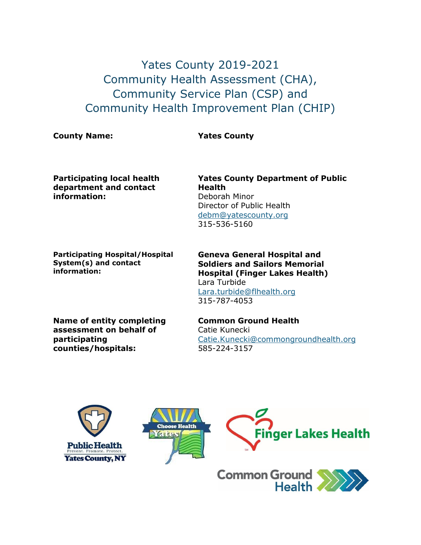## Yates County 2019-2021 Community Health Assessment (CHA), Community Service Plan (CSP) and Community Health Improvement Plan (CHIP)

**County Name: Yates County**

**Participating local health department and contact information:**

**Participating Hospital/Hospital System(s) and contact information:**

**Yates County Department of Public Health** Deborah Minor Director of Public Health [debm@yatescounty.org](mailto:debm@yatescounty.org) 315-536-5160

**Geneva General Hospital and Soldiers and Sailors Memorial Hospital (Finger Lakes Health)** Lara Turbide [Lara.turbide@flhealth.org](mailto:Lara.turbide@flhealth.org) 315-787-4053

**Name of entity completing assessment on behalf of participating counties/hospitals:**

**Common Ground Health** Catie Kunecki [Catie.Kunecki@commongroundhealth.org](mailto:Catie.Kunecki@commongroundhealth.org) 585-224-3157



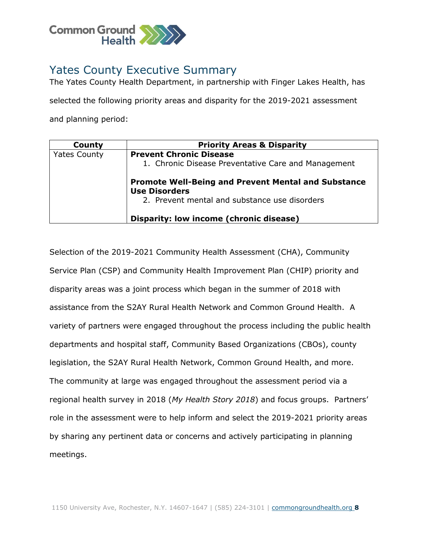

## Yates County Executive Summary

The Yates County Health Department, in partnership with Finger Lakes Health, has

selected the following priority areas and disparity for the 2019-2021 assessment and planning period:

| County              | <b>Priority Areas &amp; Disparity</b>                                              |
|---------------------|------------------------------------------------------------------------------------|
| <b>Yates County</b> | <b>Prevent Chronic Disease</b>                                                     |
|                     | 1. Chronic Disease Preventative Care and Management                                |
|                     | <b>Promote Well-Being and Prevent Mental and Substance</b><br><b>Use Disorders</b> |
|                     | 2. Prevent mental and substance use disorders                                      |
|                     | Disparity: low income (chronic disease)                                            |

Selection of the 2019-2021 Community Health Assessment (CHA), Community Service Plan (CSP) and Community Health Improvement Plan (CHIP) priority and disparity areas was a joint process which began in the summer of 2018 with assistance from the S2AY Rural Health Network and Common Ground Health. A variety of partners were engaged throughout the process including the public health departments and hospital staff, Community Based Organizations (CBOs), county legislation, the S2AY Rural Health Network, Common Ground Health, and more. The community at large was engaged throughout the assessment period via a regional health survey in 2018 (*My Health Story 2018*) and focus groups. Partners' role in the assessment were to help inform and select the 2019-2021 priority areas by sharing any pertinent data or concerns and actively participating in planning meetings.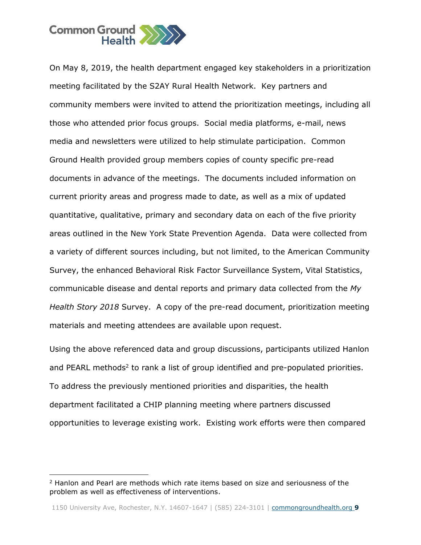

On May 8, 2019, the health department engaged key stakeholders in a prioritization meeting facilitated by the S2AY Rural Health Network. Key partners and community members were invited to attend the prioritization meetings, including all those who attended prior focus groups. Social media platforms, e-mail, news media and newsletters were utilized to help stimulate participation. Common Ground Health provided group members copies of county specific pre-read documents in advance of the meetings. The documents included information on current priority areas and progress made to date, as well as a mix of updated quantitative, qualitative, primary and secondary data on each of the five priority areas outlined in the New York State Prevention Agenda. Data were collected from a variety of different sources including, but not limited, to the American Community Survey, the enhanced Behavioral Risk Factor Surveillance System, Vital Statistics, communicable disease and dental reports and primary data collected from the *My Health Story 2018* Survey. A copy of the pre-read document, prioritization meeting materials and meeting attendees are available upon request.

Using the above referenced data and group discussions, participants utilized Hanlon and PEARL methods<sup>2</sup> to rank a list of group identified and pre-populated priorities. To address the previously mentioned priorities and disparities, the health department facilitated a CHIP planning meeting where partners discussed opportunities to leverage existing work. Existing work efforts were then compared

j

<sup>2</sup> Hanlon and Pearl are methods which rate items based on size and seriousness of the problem as well as effectiveness of interventions.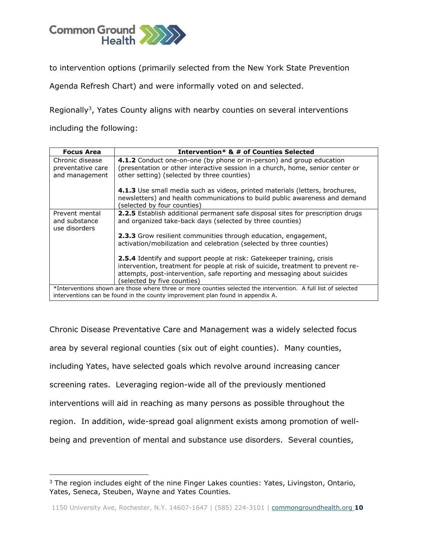

to intervention options (primarily selected from the New York State Prevention

Agenda Refresh Chart) and were informally voted on and selected.

Regionally<sup>3</sup>, Yates County aligns with nearby counties on several interventions

including the following:

j

| <b>Focus Area</b>                                      | Intervention* & # of Counties Selected                                                                                                                                                                                                                                      |
|--------------------------------------------------------|-----------------------------------------------------------------------------------------------------------------------------------------------------------------------------------------------------------------------------------------------------------------------------|
| Chronic disease<br>preventative care<br>and management | 4.1.2 Conduct one-on-one (by phone or in-person) and group education<br>(presentation or other interactive session in a church, home, senior center or<br>other setting) (selected by three counties)                                                                       |
|                                                        | 4.1.3 Use small media such as videos, printed materials (letters, brochures,<br>newsletters) and health communications to build public awareness and demand<br>(selected by four counties)                                                                                  |
| Prevent mental<br>and substance<br>use disorders       | <b>2.2.5</b> Establish additional permanent safe disposal sites for prescription drugs<br>and organized take-back days (selected by three counties)                                                                                                                         |
|                                                        | 2.3.3 Grow resilient communities through education, engagement,<br>activation/mobilization and celebration (selected by three counties)                                                                                                                                     |
|                                                        | <b>2.5.4</b> Identify and support people at risk: Gatekeeper training, crisis<br>intervention, treatment for people at risk of suicide, treatment to prevent re-<br>attempts, post-intervention, safe reporting and messaging about suicides<br>(selected by five counties) |
|                                                        | *Interventions shown are those where three or more counties selected the intervention. A full list of selected<br>interventions can be found in the county improvement plan found in appendix A.                                                                            |

Chronic Disease Preventative Care and Management was a widely selected focus area by several regional counties (six out of eight counties). Many counties, including Yates, have selected goals which revolve around increasing cancer screening rates. Leveraging region-wide all of the previously mentioned interventions will aid in reaching as many persons as possible throughout the region. In addition, wide-spread goal alignment exists among promotion of wellbeing and prevention of mental and substance use disorders. Several counties,

<sup>&</sup>lt;sup>3</sup> The region includes eight of the nine Finger Lakes counties: Yates, Livingston, Ontario, Yates, Seneca, Steuben, Wayne and Yates Counties.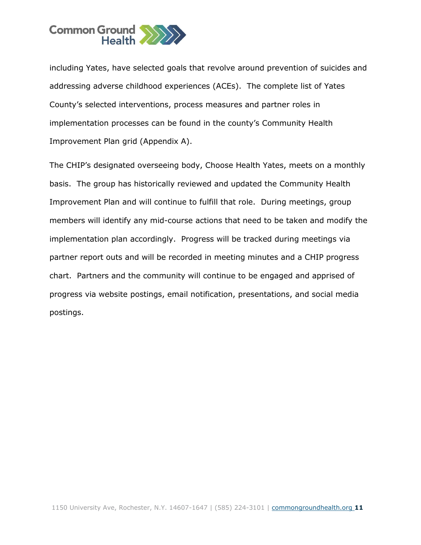

including Yates, have selected goals that revolve around prevention of suicides and addressing adverse childhood experiences (ACEs). The complete list of Yates County's selected interventions, process measures and partner roles in implementation processes can be found in the county's Community Health Improvement Plan grid (Appendix A).

The CHIP's designated overseeing body, Choose Health Yates, meets on a monthly basis. The group has historically reviewed and updated the Community Health Improvement Plan and will continue to fulfill that role. During meetings, group members will identify any mid-course actions that need to be taken and modify the implementation plan accordingly. Progress will be tracked during meetings via partner report outs and will be recorded in meeting minutes and a CHIP progress chart. Partners and the community will continue to be engaged and apprised of progress via website postings, email notification, presentations, and social media postings.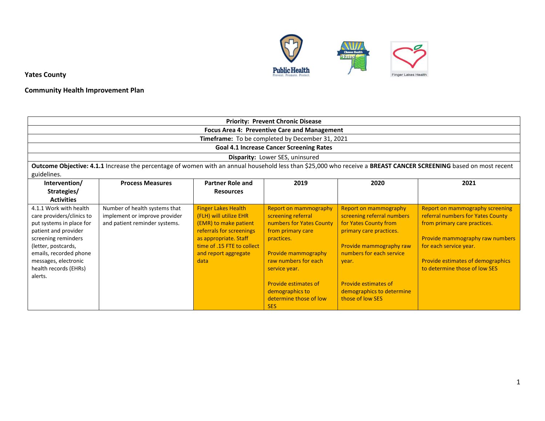

## **Community Health Improvement Plan**

|                                                     | <b>Priority: Prevent Chronic Disease</b>                       |                                                      |                                                     |                                                     |                                                                                                                                                                  |  |  |  |  |  |
|-----------------------------------------------------|----------------------------------------------------------------|------------------------------------------------------|-----------------------------------------------------|-----------------------------------------------------|------------------------------------------------------------------------------------------------------------------------------------------------------------------|--|--|--|--|--|
|                                                     |                                                                |                                                      | <b>Focus Area 4: Preventive Care and Management</b> |                                                     |                                                                                                                                                                  |  |  |  |  |  |
|                                                     |                                                                |                                                      | Timeframe: To be completed by December 31, 2021     |                                                     |                                                                                                                                                                  |  |  |  |  |  |
|                                                     |                                                                |                                                      | <b>Goal 4.1 Increase Cancer Screening Rates</b>     |                                                     |                                                                                                                                                                  |  |  |  |  |  |
|                                                     |                                                                |                                                      | Disparity: Lower SES, uninsured                     |                                                     |                                                                                                                                                                  |  |  |  |  |  |
|                                                     |                                                                |                                                      |                                                     |                                                     | Outcome Objective: 4.1.1 Increase the percentage of women with an annual household less than \$25,000 who receive a BREAST CANCER SCREENING based on most recent |  |  |  |  |  |
| guidelines.                                         |                                                                |                                                      |                                                     |                                                     |                                                                                                                                                                  |  |  |  |  |  |
| Intervention/                                       | <b>Process Measures</b>                                        | <b>Partner Role and</b>                              | 2019                                                | 2020                                                | 2021                                                                                                                                                             |  |  |  |  |  |
| Strategies/                                         |                                                                | <b>Resources</b>                                     |                                                     |                                                     |                                                                                                                                                                  |  |  |  |  |  |
| <b>Activities</b>                                   |                                                                |                                                      |                                                     |                                                     |                                                                                                                                                                  |  |  |  |  |  |
| 4.1.1 Work with health<br>care providers/clinics to | Number of health systems that<br>implement or improve provider | <b>Finger Lakes Health</b><br>(FLH) will utilize EHR | <b>Report on mammography</b><br>screening referral  | Report on mammography<br>screening referral numbers | Report on mammography screening<br>referral numbers for Yates County                                                                                             |  |  |  |  |  |
| put systems in place for                            | and patient reminder systems.                                  | (EMR) to make patient                                | numbers for Yates County                            | for Yates County from                               | from primary care practices.                                                                                                                                     |  |  |  |  |  |
| patient and provider                                |                                                                | referrals for screenings                             | from primary care                                   | primary care practices.                             |                                                                                                                                                                  |  |  |  |  |  |
| screening reminders                                 |                                                                | as appropriate. Staff                                | practices.                                          |                                                     | Provide mammography raw numbers                                                                                                                                  |  |  |  |  |  |
| (letter, postcards,<br>emails, recorded phone       |                                                                | time of .15 FTE to collect<br>and report aggregate   | Provide mammography                                 | Provide mammography raw<br>numbers for each service | for each service year.                                                                                                                                           |  |  |  |  |  |
| messages, electronic                                |                                                                | data                                                 | raw numbers for each                                | vear.                                               | Provide estimates of demographics                                                                                                                                |  |  |  |  |  |
| health records (EHRs)                               |                                                                |                                                      | service year.                                       |                                                     | to determine those of low SES                                                                                                                                    |  |  |  |  |  |
| alerts.                                             |                                                                |                                                      |                                                     |                                                     |                                                                                                                                                                  |  |  |  |  |  |
|                                                     | <b>Provide estimates of</b><br><b>Provide estimates of</b>     |                                                      |                                                     |                                                     |                                                                                                                                                                  |  |  |  |  |  |
|                                                     |                                                                |                                                      | demographics to                                     | demographics to determine                           |                                                                                                                                                                  |  |  |  |  |  |
|                                                     |                                                                |                                                      | determine those of low                              | those of low SES                                    |                                                                                                                                                                  |  |  |  |  |  |
|                                                     |                                                                |                                                      | <b>SES</b>                                          |                                                     |                                                                                                                                                                  |  |  |  |  |  |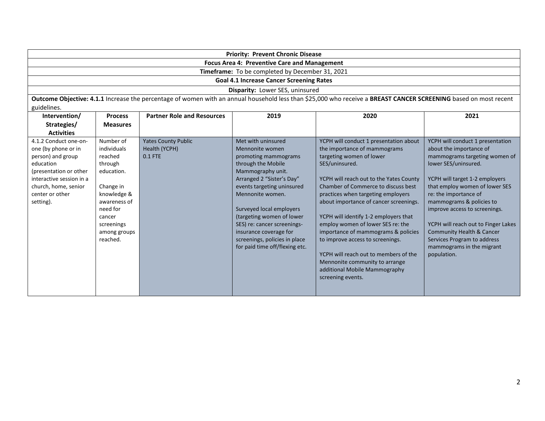| <b>Priority: Prevent Chronic Disease</b>            |  |  |  |  |
|-----------------------------------------------------|--|--|--|--|
| <b>Focus Area 4: Preventive Care and Management</b> |  |  |  |  |
| Timeframe: To be completed by December 31, 2021     |  |  |  |  |
| <b>Goal 4.1 Increase Cancer Screening Rates</b>     |  |  |  |  |
| <b>Disparity:</b> Lower SES, uninsured              |  |  |  |  |

**Outcome Objective: 4.1.1** Increase the percentage of women with an annual household less than \$25,000 who receive a **BREAST CANCER SCREENING** based on most recent guidelines.

| Intervention/<br><b>Process</b>                                                                                                                                                                                                                                                                                                                                          | <b>Partner Role and Resources</b>                      | 2019                                                                                                                                                                                                                                                                                                                                                                          | 2020                                                                                                                                                                                                                                                                                                                                                                                                                                                                                                                                                                             | 2021                                                                                                                                                                                                                                                                                                                                                                                                                          |
|--------------------------------------------------------------------------------------------------------------------------------------------------------------------------------------------------------------------------------------------------------------------------------------------------------------------------------------------------------------------------|--------------------------------------------------------|-------------------------------------------------------------------------------------------------------------------------------------------------------------------------------------------------------------------------------------------------------------------------------------------------------------------------------------------------------------------------------|----------------------------------------------------------------------------------------------------------------------------------------------------------------------------------------------------------------------------------------------------------------------------------------------------------------------------------------------------------------------------------------------------------------------------------------------------------------------------------------------------------------------------------------------------------------------------------|-------------------------------------------------------------------------------------------------------------------------------------------------------------------------------------------------------------------------------------------------------------------------------------------------------------------------------------------------------------------------------------------------------------------------------|
| Strategies/<br><b>Measures</b>                                                                                                                                                                                                                                                                                                                                           |                                                        |                                                                                                                                                                                                                                                                                                                                                                               |                                                                                                                                                                                                                                                                                                                                                                                                                                                                                                                                                                                  |                                                                                                                                                                                                                                                                                                                                                                                                                               |
| <b>Activities</b>                                                                                                                                                                                                                                                                                                                                                        |                                                        |                                                                                                                                                                                                                                                                                                                                                                               |                                                                                                                                                                                                                                                                                                                                                                                                                                                                                                                                                                                  |                                                                                                                                                                                                                                                                                                                                                                                                                               |
| Number of<br>4.1.2 Conduct one-on-<br>one (by phone or in<br>individuals<br>person) and group<br>reached<br>education<br>through<br>(presentation or other<br>education.<br>interactive session in a<br>church, home, senior<br>Change in<br>knowledge &<br>center or other<br>setting).<br>awareness of<br>need for<br>cancer<br>screenings<br>among groups<br>reached. | <b>Yates County Public</b><br>Health (YCPH)<br>0.1 FTE | Met with uninsured<br>Mennonite women<br>promoting mammograms<br>through the Mobile<br>Mammography unit.<br>Arranged 2 "Sister's Day"<br>events targeting uninsured<br>Mennonite women.<br>Surveyed local employers<br>(targeting women of lower)<br>SES) re: cancer screenings-<br>insurance coverage for<br>screenings, policies in place<br>for paid time off/flexing etc. | YCPH will conduct 1 presentation about<br>the importance of mammograms<br>targeting women of lower<br>SES/uninsured.<br>YCPH will reach out to the Yates County<br>Chamber of Commerce to discuss best<br>practices when targeting employers<br>about importance of cancer screenings.<br>YCPH will identify 1-2 employers that<br>employ women of lower SES re: the<br>importance of mammograms & policies<br>to improve access to screenings.<br>YCPH will reach out to members of the<br>Mennonite community to arrange<br>additional Mobile Mammography<br>screening events. | YCPH will conduct 1 presentation<br>about the importance of<br>mammograms targeting women of<br>lower SES/uninsured.<br>YCPH will target 1-2 employers<br>that employ women of lower SES<br>re: the importance of<br>mammograms & policies to<br>improve access to screenings.<br>YCPH will reach out to Finger Lakes<br>Community Health & Cancer<br>Services Program to address<br>mammograms in the migrant<br>population. |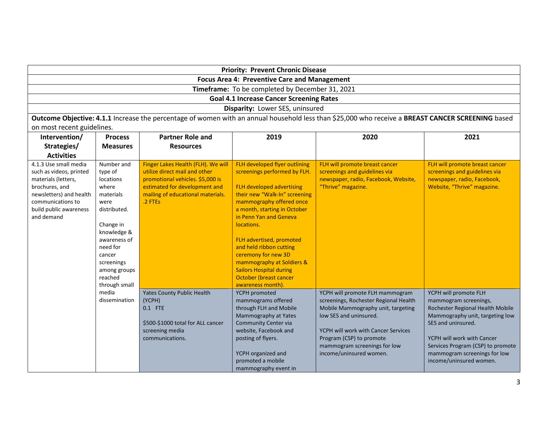| <b>Priority: Prevent Chronic Disease</b>               |  |  |  |  |  |
|--------------------------------------------------------|--|--|--|--|--|
| <b>Focus Area 4: Preventive Care and Management</b>    |  |  |  |  |  |
| <b>Timeframe:</b> To be completed by December 31, 2021 |  |  |  |  |  |
| <b>Goal 4.1 Increase Cancer Screening Rates</b>        |  |  |  |  |  |
| Disparity: Lower SES, uninsured                        |  |  |  |  |  |

**Outcome Objective: 4.1.1** Increase the percentage of women with an annual household less than \$25,000 who receive a **BREAST CANCER SCREENING** based on most recent guidelines.

| Intervention/           | <b>Process</b>  | <b>Partner Role and</b>            | 2019                           | 2020                                  | 2021                              |
|-------------------------|-----------------|------------------------------------|--------------------------------|---------------------------------------|-----------------------------------|
| Strategies/             | <b>Measures</b> | <b>Resources</b>                   |                                |                                       |                                   |
| <b>Activities</b>       |                 |                                    |                                |                                       |                                   |
| 4.1.3 Use small media   | Number and      | Finger Lakes Health (FLH). We will | FLH developed flyer outlining  | FLH will promote breast cancer        | FLH will promote breast cancer    |
| such as videos, printed | type of         | utilize direct mail and other      | screenings performed by FLH.   | screenings and guidelines via         | screenings and guidelines via     |
| materials (letters,     | locations       | promotional vehicles. \$5,000 is   |                                | newspaper, radio, Facebook, Website,  | newspaper, radio, Facebook,       |
| brochures, and          | where           | estimated for development and      | FLH developed advertising      | "Thrive" magazine.                    | Website, "Thrive" magazine.       |
| newsletters) and health | materials       | mailing of educational materials.  | their new "Walk-In" screening  |                                       |                                   |
| communications to       | were            | .2 FTEs                            | mammography offered once       |                                       |                                   |
| build public awareness  | distributed.    |                                    | a month, starting in October   |                                       |                                   |
| and demand              |                 |                                    | in Penn Yan and Geneva         |                                       |                                   |
|                         | Change in       |                                    | locations.                     |                                       |                                   |
|                         | knowledge &     |                                    |                                |                                       |                                   |
|                         | awareness of    |                                    | FLH advertised, promoted       |                                       |                                   |
|                         | need for        |                                    | and held ribbon cutting        |                                       |                                   |
|                         | cancer          |                                    | ceremony for new 3D            |                                       |                                   |
|                         | screenings      |                                    | mammography at Soldiers &      |                                       |                                   |
|                         | among groups    |                                    | <b>Sailors Hospital during</b> |                                       |                                   |
|                         | reached         |                                    | October (breast cancer         |                                       |                                   |
|                         | through small   |                                    | awareness month).              |                                       |                                   |
|                         | media           | <b>Yates County Public Health</b>  | YCPH promoted                  | YCPH will promote FLH mammogram       | YCPH will promote FLH             |
|                         | dissemination   | (YCPH)                             | mammograms offered             | screenings, Rochester Regional Health | mammogram screenings,             |
|                         |                 | 0.1 FTE                            | through FLH and Mobile         | Mobile Mammography unit, targeting    | Rochester Regional Health Mobile  |
|                         |                 |                                    | Mammography at Yates           | low SES and uninsured.                | Mammography unit, targeting low   |
|                         |                 | \$500-\$1000 total for ALL cancer  | <b>Community Center via</b>    |                                       | SES and uninsured.                |
|                         |                 | screening media                    | website, Facebook and          | YCPH will work with Cancer Services   |                                   |
|                         |                 | communications.                    | posting of flyers.             | Program (CSP) to promote              | YCPH will work with Cancer        |
|                         |                 |                                    |                                | mammogram screenings for low          | Services Program (CSP) to promote |
|                         |                 |                                    | YCPH organized and             | income/uninsured women.               | mammogram screenings for low      |
|                         |                 |                                    | promoted a mobile              |                                       | income/uninsured women.           |
|                         |                 |                                    | mammography event in           |                                       |                                   |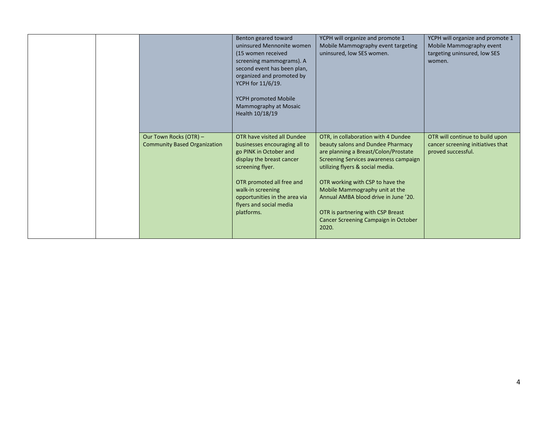|  |                                                               | Benton geared toward<br>uninsured Mennonite women<br>(15 women received<br>screening mammograms). A<br>second event has been plan,<br>organized and promoted by<br>YCPH for 11/6/19.<br>YCPH promoted Mobile<br>Mammography at Mosaic<br>Health 10/18/19            | YCPH will organize and promote 1<br>Mobile Mammography event targeting<br>uninsured, low SES women.                                                                                                                                                                                                                                                                                               | YCPH will organize and promote 1<br>Mobile Mammography event<br>targeting uninsured, low SES<br>women. |
|--|---------------------------------------------------------------|---------------------------------------------------------------------------------------------------------------------------------------------------------------------------------------------------------------------------------------------------------------------|---------------------------------------------------------------------------------------------------------------------------------------------------------------------------------------------------------------------------------------------------------------------------------------------------------------------------------------------------------------------------------------------------|--------------------------------------------------------------------------------------------------------|
|  | Our Town Rocks (OTR) -<br><b>Community Based Organization</b> | OTR have visited all Dundee<br>businesses encouraging all to<br>go PINK in October and<br>display the breast cancer<br>screening flyer.<br>OTR promoted all free and<br>walk-in screening<br>opportunities in the area via<br>flyers and social media<br>platforms. | OTR, in collaboration with 4 Dundee<br>beauty salons and Dundee Pharmacy<br>are planning a Breast/Colon/Prostate<br>Screening Services awareness campaign<br>utilizing flyers & social media.<br>OTR working with CSP to have the<br>Mobile Mammography unit at the<br>Annual AMBA blood drive in June '20.<br>OTR is partnering with CSP Breast<br>Cancer Screening Campaign in October<br>2020. | OTR will continue to build upon<br>cancer screening initiatives that<br>proved successful.             |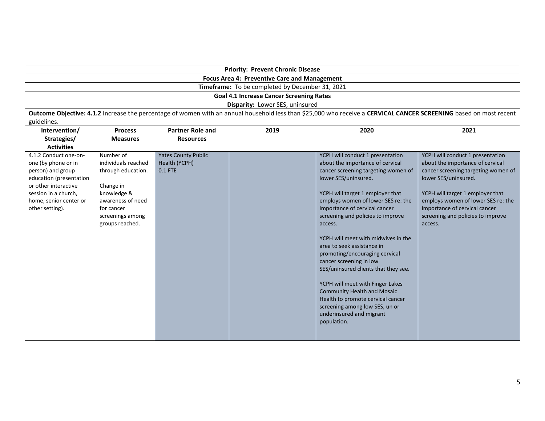|                                                                                                                                                                                           | <b>Priority: Prevent Chronic Disease</b>                                                                                                                     |                                                        |                                                 |                                                                                                                                                                                                                                                                                                                                                                                                                                                                                                                                                                                                                                                                      |                                                                                                                                                                                                                                                                                                |  |  |  |
|-------------------------------------------------------------------------------------------------------------------------------------------------------------------------------------------|--------------------------------------------------------------------------------------------------------------------------------------------------------------|--------------------------------------------------------|-------------------------------------------------|----------------------------------------------------------------------------------------------------------------------------------------------------------------------------------------------------------------------------------------------------------------------------------------------------------------------------------------------------------------------------------------------------------------------------------------------------------------------------------------------------------------------------------------------------------------------------------------------------------------------------------------------------------------------|------------------------------------------------------------------------------------------------------------------------------------------------------------------------------------------------------------------------------------------------------------------------------------------------|--|--|--|
|                                                                                                                                                                                           | Focus Area 4: Preventive Care and Management                                                                                                                 |                                                        |                                                 |                                                                                                                                                                                                                                                                                                                                                                                                                                                                                                                                                                                                                                                                      |                                                                                                                                                                                                                                                                                                |  |  |  |
|                                                                                                                                                                                           |                                                                                                                                                              |                                                        | Timeframe: To be completed by December 31, 2021 |                                                                                                                                                                                                                                                                                                                                                                                                                                                                                                                                                                                                                                                                      |                                                                                                                                                                                                                                                                                                |  |  |  |
|                                                                                                                                                                                           |                                                                                                                                                              |                                                        | <b>Goal 4.1 Increase Cancer Screening Rates</b> |                                                                                                                                                                                                                                                                                                                                                                                                                                                                                                                                                                                                                                                                      |                                                                                                                                                                                                                                                                                                |  |  |  |
|                                                                                                                                                                                           |                                                                                                                                                              |                                                        | Disparity: Lower SES, uninsured                 |                                                                                                                                                                                                                                                                                                                                                                                                                                                                                                                                                                                                                                                                      |                                                                                                                                                                                                                                                                                                |  |  |  |
|                                                                                                                                                                                           |                                                                                                                                                              |                                                        |                                                 | Outcome Objective: 4.1.2 Increase the percentage of women with an annual household less than \$25,000 who receive a CERVICAL CANCER SCREENING based on most recent                                                                                                                                                                                                                                                                                                                                                                                                                                                                                                   |                                                                                                                                                                                                                                                                                                |  |  |  |
| guidelines.                                                                                                                                                                               |                                                                                                                                                              |                                                        |                                                 |                                                                                                                                                                                                                                                                                                                                                                                                                                                                                                                                                                                                                                                                      |                                                                                                                                                                                                                                                                                                |  |  |  |
| Intervention/                                                                                                                                                                             | <b>Process</b>                                                                                                                                               | <b>Partner Role and</b>                                | 2019                                            | 2020                                                                                                                                                                                                                                                                                                                                                                                                                                                                                                                                                                                                                                                                 | 2021                                                                                                                                                                                                                                                                                           |  |  |  |
| Strategies/                                                                                                                                                                               | <b>Measures</b>                                                                                                                                              | <b>Resources</b>                                       |                                                 |                                                                                                                                                                                                                                                                                                                                                                                                                                                                                                                                                                                                                                                                      |                                                                                                                                                                                                                                                                                                |  |  |  |
| <b>Activities</b>                                                                                                                                                                         |                                                                                                                                                              |                                                        |                                                 |                                                                                                                                                                                                                                                                                                                                                                                                                                                                                                                                                                                                                                                                      |                                                                                                                                                                                                                                                                                                |  |  |  |
| 4.1.2 Conduct one-on-<br>one (by phone or in<br>person) and group<br>education (presentation<br>or other interactive<br>session in a church,<br>home, senior center or<br>other setting). | Number of<br>individuals reached<br>through education.<br>Change in<br>knowledge &<br>awareness of need<br>for cancer<br>screenings among<br>groups reached. | <b>Yates County Public</b><br>Health (YCPH)<br>0.1 FTE |                                                 | YCPH will conduct 1 presentation<br>about the importance of cervical<br>cancer screening targeting women of<br>lower SES/uninsured.<br>YCPH will target 1 employer that<br>employs women of lower SES re: the<br>importance of cervical cancer<br>screening and policies to improve<br>access.<br>YCPH will meet with midwives in the<br>area to seek assistance in<br>promoting/encouraging cervical<br>cancer screening in low<br>SES/uninsured clients that they see.<br>YCPH will meet with Finger Lakes<br><b>Community Health and Mosaic</b><br>Health to promote cervical cancer<br>screening among low SES, un or<br>underinsured and migrant<br>population. | YCPH will conduct 1 presentation<br>about the importance of cervical<br>cancer screening targeting women of<br>lower SES/uninsured.<br>YCPH will target 1 employer that<br>employs women of lower SES re: the<br>importance of cervical cancer<br>screening and policies to improve<br>access. |  |  |  |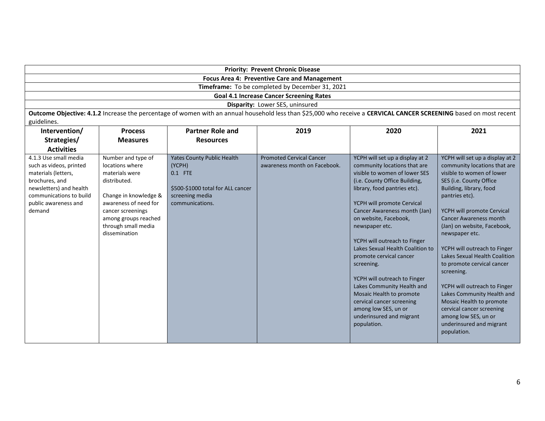| <b>Priority: Prevent Chronic Disease</b>                                                                                                                                          |                                                                                                                                                                                                                |                                                                                                                                   |                                                                                                                                                                    |                                                                                                                                                                                                                                                                                                                                                                                                                                                                                                                                                                                   |                                                                                                                                                                                                                                                                                                                                                                                                                                                                                                                                                                                             |  |  |  |
|-----------------------------------------------------------------------------------------------------------------------------------------------------------------------------------|----------------------------------------------------------------------------------------------------------------------------------------------------------------------------------------------------------------|-----------------------------------------------------------------------------------------------------------------------------------|--------------------------------------------------------------------------------------------------------------------------------------------------------------------|-----------------------------------------------------------------------------------------------------------------------------------------------------------------------------------------------------------------------------------------------------------------------------------------------------------------------------------------------------------------------------------------------------------------------------------------------------------------------------------------------------------------------------------------------------------------------------------|---------------------------------------------------------------------------------------------------------------------------------------------------------------------------------------------------------------------------------------------------------------------------------------------------------------------------------------------------------------------------------------------------------------------------------------------------------------------------------------------------------------------------------------------------------------------------------------------|--|--|--|
|                                                                                                                                                                                   |                                                                                                                                                                                                                |                                                                                                                                   | <b>Focus Area 4: Preventive Care and Management</b>                                                                                                                |                                                                                                                                                                                                                                                                                                                                                                                                                                                                                                                                                                                   |                                                                                                                                                                                                                                                                                                                                                                                                                                                                                                                                                                                             |  |  |  |
| Timeframe: To be completed by December 31, 2021                                                                                                                                   |                                                                                                                                                                                                                |                                                                                                                                   |                                                                                                                                                                    |                                                                                                                                                                                                                                                                                                                                                                                                                                                                                                                                                                                   |                                                                                                                                                                                                                                                                                                                                                                                                                                                                                                                                                                                             |  |  |  |
|                                                                                                                                                                                   |                                                                                                                                                                                                                |                                                                                                                                   | <b>Goal 4.1 Increase Cancer Screening Rates</b>                                                                                                                    |                                                                                                                                                                                                                                                                                                                                                                                                                                                                                                                                                                                   |                                                                                                                                                                                                                                                                                                                                                                                                                                                                                                                                                                                             |  |  |  |
|                                                                                                                                                                                   |                                                                                                                                                                                                                |                                                                                                                                   | Disparity: Lower SES, uninsured                                                                                                                                    |                                                                                                                                                                                                                                                                                                                                                                                                                                                                                                                                                                                   |                                                                                                                                                                                                                                                                                                                                                                                                                                                                                                                                                                                             |  |  |  |
|                                                                                                                                                                                   |                                                                                                                                                                                                                |                                                                                                                                   | Outcome Objective: 4.1.2 Increase the percentage of women with an annual household less than \$25,000 who receive a CERVICAL CANCER SCREENING based on most recent |                                                                                                                                                                                                                                                                                                                                                                                                                                                                                                                                                                                   |                                                                                                                                                                                                                                                                                                                                                                                                                                                                                                                                                                                             |  |  |  |
| guidelines.                                                                                                                                                                       |                                                                                                                                                                                                                |                                                                                                                                   |                                                                                                                                                                    |                                                                                                                                                                                                                                                                                                                                                                                                                                                                                                                                                                                   |                                                                                                                                                                                                                                                                                                                                                                                                                                                                                                                                                                                             |  |  |  |
| Intervention/                                                                                                                                                                     | <b>Process</b>                                                                                                                                                                                                 | <b>Partner Role and</b>                                                                                                           | 2019                                                                                                                                                               | 2020                                                                                                                                                                                                                                                                                                                                                                                                                                                                                                                                                                              | 2021                                                                                                                                                                                                                                                                                                                                                                                                                                                                                                                                                                                        |  |  |  |
| Strategies/                                                                                                                                                                       | <b>Measures</b>                                                                                                                                                                                                | <b>Resources</b>                                                                                                                  |                                                                                                                                                                    |                                                                                                                                                                                                                                                                                                                                                                                                                                                                                                                                                                                   |                                                                                                                                                                                                                                                                                                                                                                                                                                                                                                                                                                                             |  |  |  |
| <b>Activities</b>                                                                                                                                                                 |                                                                                                                                                                                                                |                                                                                                                                   |                                                                                                                                                                    |                                                                                                                                                                                                                                                                                                                                                                                                                                                                                                                                                                                   |                                                                                                                                                                                                                                                                                                                                                                                                                                                                                                                                                                                             |  |  |  |
| 4.1.3 Use small media<br>such as videos, printed<br>materials (letters,<br>brochures, and<br>newsletters) and health<br>communications to build<br>public awareness and<br>demand | Number and type of<br>locations where<br>materials were<br>distributed.<br>Change in knowledge &<br>awareness of need for<br>cancer screenings<br>among groups reached<br>through small media<br>dissemination | <b>Yates County Public Health</b><br>(YCPH)<br>0.1 FTE<br>\$500-\$1000 total for ALL cancer<br>screening media<br>communications. | <b>Promoted Cervical Cancer</b><br>awareness month on Facebook.                                                                                                    | YCPH will set up a display at 2<br>community locations that are<br>visible to women of lower SES<br>(i.e. County Office Building,<br>library, food pantries etc).<br>YCPH will promote Cervical<br>Cancer Awareness month (Jan)<br>on website, Facebook,<br>newspaper etc.<br>YCPH will outreach to Finger<br>Lakes Sexual Health Coalition to<br>promote cervical cancer<br>screening.<br>YCPH will outreach to Finger<br>Lakes Community Health and<br>Mosaic Health to promote<br>cervical cancer screening<br>among low SES, un or<br>underinsured and migrant<br>population. | YCPH will set up a display at 2<br>community locations that are<br>visible to women of lower<br>SES (i.e. County Office<br>Building, library, food<br>pantries etc).<br>YCPH will promote Cervical<br><b>Cancer Awareness month</b><br>(Jan) on website, Facebook,<br>newspaper etc.<br>YCPH will outreach to Finger<br>Lakes Sexual Health Coalition<br>to promote cervical cancer<br>screening.<br>YCPH will outreach to Finger<br>Lakes Community Health and<br>Mosaic Health to promote<br>cervical cancer screening<br>among low SES, un or<br>underinsured and migrant<br>population. |  |  |  |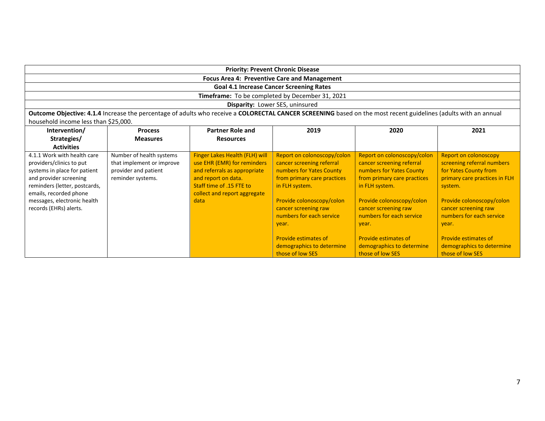|                                                                                                                                                                                                                                       |                                                                                                    |                                                                                                                                                                                          | <b>Priority: Prevent Chronic Disease</b>                                                                                                                                                                                                                                                                        |                                                                                                                                                                                                                                                                                                                 |                                                                                                                                                                                                                                                                                                           |  |
|---------------------------------------------------------------------------------------------------------------------------------------------------------------------------------------------------------------------------------------|----------------------------------------------------------------------------------------------------|------------------------------------------------------------------------------------------------------------------------------------------------------------------------------------------|-----------------------------------------------------------------------------------------------------------------------------------------------------------------------------------------------------------------------------------------------------------------------------------------------------------------|-----------------------------------------------------------------------------------------------------------------------------------------------------------------------------------------------------------------------------------------------------------------------------------------------------------------|-----------------------------------------------------------------------------------------------------------------------------------------------------------------------------------------------------------------------------------------------------------------------------------------------------------|--|
|                                                                                                                                                                                                                                       |                                                                                                    |                                                                                                                                                                                          | <b>Focus Area 4: Preventive Care and Management</b>                                                                                                                                                                                                                                                             |                                                                                                                                                                                                                                                                                                                 |                                                                                                                                                                                                                                                                                                           |  |
|                                                                                                                                                                                                                                       |                                                                                                    |                                                                                                                                                                                          | <b>Goal 4.1 Increase Cancer Screening Rates</b>                                                                                                                                                                                                                                                                 |                                                                                                                                                                                                                                                                                                                 |                                                                                                                                                                                                                                                                                                           |  |
|                                                                                                                                                                                                                                       |                                                                                                    |                                                                                                                                                                                          | Timeframe: To be completed by December 31, 2021                                                                                                                                                                                                                                                                 |                                                                                                                                                                                                                                                                                                                 |                                                                                                                                                                                                                                                                                                           |  |
|                                                                                                                                                                                                                                       |                                                                                                    |                                                                                                                                                                                          | Disparity: Lower SES, uninsured                                                                                                                                                                                                                                                                                 |                                                                                                                                                                                                                                                                                                                 |                                                                                                                                                                                                                                                                                                           |  |
|                                                                                                                                                                                                                                       |                                                                                                    |                                                                                                                                                                                          | Outcome Objective: 4.1.4 Increase the percentage of adults who receive a COLORECTAL CANCER SCREENING based on the most recent guidelines (adults with an annual                                                                                                                                                 |                                                                                                                                                                                                                                                                                                                 |                                                                                                                                                                                                                                                                                                           |  |
| household income less than \$25,000.                                                                                                                                                                                                  |                                                                                                    |                                                                                                                                                                                          |                                                                                                                                                                                                                                                                                                                 |                                                                                                                                                                                                                                                                                                                 |                                                                                                                                                                                                                                                                                                           |  |
| Intervention/                                                                                                                                                                                                                         | <b>Process</b>                                                                                     | <b>Partner Role and</b>                                                                                                                                                                  | 2019                                                                                                                                                                                                                                                                                                            | 2020                                                                                                                                                                                                                                                                                                            | 2021                                                                                                                                                                                                                                                                                                      |  |
| Strategies/                                                                                                                                                                                                                           | <b>Measures</b>                                                                                    | <b>Resources</b>                                                                                                                                                                         |                                                                                                                                                                                                                                                                                                                 |                                                                                                                                                                                                                                                                                                                 |                                                                                                                                                                                                                                                                                                           |  |
| <b>Activities</b>                                                                                                                                                                                                                     |                                                                                                    |                                                                                                                                                                                          |                                                                                                                                                                                                                                                                                                                 |                                                                                                                                                                                                                                                                                                                 |                                                                                                                                                                                                                                                                                                           |  |
| 4.1.1 Work with health care<br>providers/clinics to put<br>systems in place for patient<br>and provider screening<br>reminders (letter, postcards,<br>emails, recorded phone<br>messages, electronic health<br>records (EHRs) alerts. | Number of health systems<br>that implement or improve<br>provider and patient<br>reminder systems. | Finger Lakes Health (FLH) will<br>use EHR (EMR) for reminders<br>and referrals as appropriate<br>and report on data.<br>Staff time of .15 FTE to<br>collect and report aggregate<br>data | Report on colonoscopy/colon<br>cancer screening referral<br>numbers for Yates County<br>from primary care practices<br>in FLH system.<br>Provide colonoscopy/colon<br>cancer screening raw<br>numbers for each service<br>vear.<br><b>Provide estimates of</b><br>demographics to determine<br>those of low SES | Report on colonoscopy/colon<br>cancer screening referral<br>numbers for Yates County<br>from primary care practices<br>in FLH system.<br>Provide colonoscopy/colon<br>cancer screening raw<br>numbers for each service<br>vear.<br><b>Provide estimates of</b><br>demographics to determine<br>those of low SES | <b>Report on colonoscopy</b><br>screening referral numbers<br>for Yates County from<br>primary care practices in FLH<br>system.<br>Provide colonoscopy/colon<br>cancer screening raw<br>numbers for each service<br>vear.<br><b>Provide estimates of</b><br>demographics to determine<br>those of low SES |  |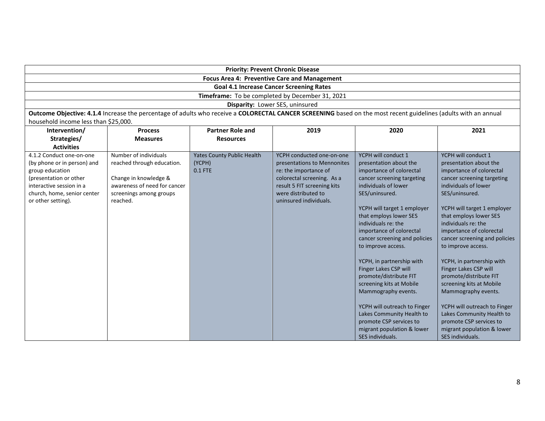| <b>Priority: Prevent Chronic Disease</b>                                                                                                                                              |                                                                                                                                                                 |                                                          |                                                                                                                                                                                                 |                                                                                                                                                                                                                                                                                                                                                                                                                                                                                                                                                                                                   |                                                                                                                                                                                                                                                                                                                                                                                                                                                                                                                                                                                                   |  |  |  |  |
|---------------------------------------------------------------------------------------------------------------------------------------------------------------------------------------|-----------------------------------------------------------------------------------------------------------------------------------------------------------------|----------------------------------------------------------|-------------------------------------------------------------------------------------------------------------------------------------------------------------------------------------------------|---------------------------------------------------------------------------------------------------------------------------------------------------------------------------------------------------------------------------------------------------------------------------------------------------------------------------------------------------------------------------------------------------------------------------------------------------------------------------------------------------------------------------------------------------------------------------------------------------|---------------------------------------------------------------------------------------------------------------------------------------------------------------------------------------------------------------------------------------------------------------------------------------------------------------------------------------------------------------------------------------------------------------------------------------------------------------------------------------------------------------------------------------------------------------------------------------------------|--|--|--|--|
|                                                                                                                                                                                       | <b>Focus Area 4: Preventive Care and Management</b>                                                                                                             |                                                          |                                                                                                                                                                                                 |                                                                                                                                                                                                                                                                                                                                                                                                                                                                                                                                                                                                   |                                                                                                                                                                                                                                                                                                                                                                                                                                                                                                                                                                                                   |  |  |  |  |
|                                                                                                                                                                                       |                                                                                                                                                                 |                                                          | <b>Goal 4.1 Increase Cancer Screening Rates</b>                                                                                                                                                 |                                                                                                                                                                                                                                                                                                                                                                                                                                                                                                                                                                                                   |                                                                                                                                                                                                                                                                                                                                                                                                                                                                                                                                                                                                   |  |  |  |  |
|                                                                                                                                                                                       |                                                                                                                                                                 |                                                          | Timeframe: To be completed by December 31, 2021                                                                                                                                                 |                                                                                                                                                                                                                                                                                                                                                                                                                                                                                                                                                                                                   |                                                                                                                                                                                                                                                                                                                                                                                                                                                                                                                                                                                                   |  |  |  |  |
|                                                                                                                                                                                       |                                                                                                                                                                 |                                                          | Disparity: Lower SES, uninsured                                                                                                                                                                 |                                                                                                                                                                                                                                                                                                                                                                                                                                                                                                                                                                                                   |                                                                                                                                                                                                                                                                                                                                                                                                                                                                                                                                                                                                   |  |  |  |  |
|                                                                                                                                                                                       | Outcome Objective: 4.1.4 Increase the percentage of adults who receive a COLORECTAL CANCER SCREENING based on the most recent guidelines (adults with an annual |                                                          |                                                                                                                                                                                                 |                                                                                                                                                                                                                                                                                                                                                                                                                                                                                                                                                                                                   |                                                                                                                                                                                                                                                                                                                                                                                                                                                                                                                                                                                                   |  |  |  |  |
| household income less than \$25,000.                                                                                                                                                  |                                                                                                                                                                 |                                                          |                                                                                                                                                                                                 |                                                                                                                                                                                                                                                                                                                                                                                                                                                                                                                                                                                                   |                                                                                                                                                                                                                                                                                                                                                                                                                                                                                                                                                                                                   |  |  |  |  |
| Intervention/                                                                                                                                                                         | 2019<br>2021<br><b>Process</b><br><b>Partner Role and</b><br>2020                                                                                               |                                                          |                                                                                                                                                                                                 |                                                                                                                                                                                                                                                                                                                                                                                                                                                                                                                                                                                                   |                                                                                                                                                                                                                                                                                                                                                                                                                                                                                                                                                                                                   |  |  |  |  |
| Strategies/                                                                                                                                                                           | <b>Measures</b>                                                                                                                                                 | <b>Resources</b>                                         |                                                                                                                                                                                                 |                                                                                                                                                                                                                                                                                                                                                                                                                                                                                                                                                                                                   |                                                                                                                                                                                                                                                                                                                                                                                                                                                                                                                                                                                                   |  |  |  |  |
| <b>Activities</b>                                                                                                                                                                     |                                                                                                                                                                 |                                                          |                                                                                                                                                                                                 |                                                                                                                                                                                                                                                                                                                                                                                                                                                                                                                                                                                                   |                                                                                                                                                                                                                                                                                                                                                                                                                                                                                                                                                                                                   |  |  |  |  |
| 4.1.2 Conduct one-on-one<br>(by phone or in person) and<br>group education<br>(presentation or other<br>interactive session in a<br>church, home, senior center<br>or other setting). | Number of individuals<br>reached through education.<br>Change in knowledge &<br>awareness of need for cancer<br>screenings among groups<br>reached.             | <b>Yates County Public Health</b><br>(YCPH)<br>$0.1$ FTE | YCPH conducted one-on-one<br>presentations to Mennonites<br>re: the importance of<br>colorectal screening. As a<br>result 5 FIT screening kits<br>were distributed to<br>uninsured individuals. | YCPH will conduct 1<br>presentation about the<br>importance of colorectal<br>cancer screening targeting<br>individuals of lower<br>SES/uninsured.<br>YCPH will target 1 employer<br>that employs lower SES<br>individuals re: the<br>importance of colorectal<br>cancer screening and policies<br>to improve access.<br>YCPH, in partnership with<br>Finger Lakes CSP will<br>promote/distribute FIT<br>screening kits at Mobile<br>Mammography events.<br>YCPH will outreach to Finger<br>Lakes Community Health to<br>promote CSP services to<br>migrant population & lower<br>SES individuals. | YCPH will conduct 1<br>presentation about the<br>importance of colorectal<br>cancer screening targeting<br>individuals of lower<br>SES/uninsured.<br>YCPH will target 1 employer<br>that employs lower SES<br>individuals re: the<br>importance of colorectal<br>cancer screening and policies<br>to improve access.<br>YCPH, in partnership with<br>Finger Lakes CSP will<br>promote/distribute FIT<br>screening kits at Mobile<br>Mammography events.<br>YCPH will outreach to Finger<br>Lakes Community Health to<br>promote CSP services to<br>migrant population & lower<br>SES individuals. |  |  |  |  |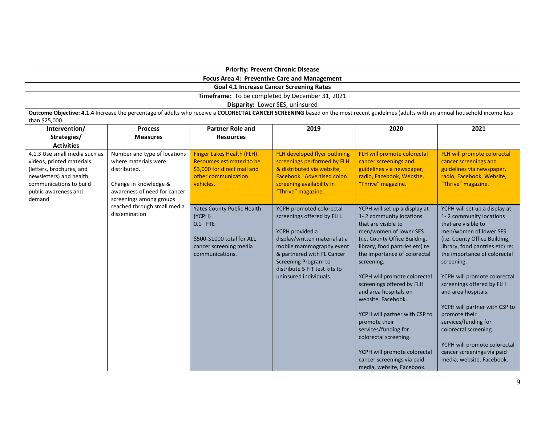| <b>Priority: Prevent Chronic Disease</b>                                                                                                                                       |                                                                                                                                                                                         |                                                                                                                                   |                                                                                                                                                                                                                                                                |                                                                                                                                                                                                                                                                                                                                                                                                                                                                                                                                       |                                                                                                                                                                                                                                                                                                                                                                                                                                                                                                               |  |  |  |
|--------------------------------------------------------------------------------------------------------------------------------------------------------------------------------|-----------------------------------------------------------------------------------------------------------------------------------------------------------------------------------------|-----------------------------------------------------------------------------------------------------------------------------------|----------------------------------------------------------------------------------------------------------------------------------------------------------------------------------------------------------------------------------------------------------------|---------------------------------------------------------------------------------------------------------------------------------------------------------------------------------------------------------------------------------------------------------------------------------------------------------------------------------------------------------------------------------------------------------------------------------------------------------------------------------------------------------------------------------------|---------------------------------------------------------------------------------------------------------------------------------------------------------------------------------------------------------------------------------------------------------------------------------------------------------------------------------------------------------------------------------------------------------------------------------------------------------------------------------------------------------------|--|--|--|
| <b>Focus Area 4: Preventive Care and Management</b>                                                                                                                            |                                                                                                                                                                                         |                                                                                                                                   |                                                                                                                                                                                                                                                                |                                                                                                                                                                                                                                                                                                                                                                                                                                                                                                                                       |                                                                                                                                                                                                                                                                                                                                                                                                                                                                                                               |  |  |  |
| <b>Goal 4.1 Increase Cancer Screening Rates</b><br>Timeframe: To be completed by December 31, 2021                                                                             |                                                                                                                                                                                         |                                                                                                                                   |                                                                                                                                                                                                                                                                |                                                                                                                                                                                                                                                                                                                                                                                                                                                                                                                                       |                                                                                                                                                                                                                                                                                                                                                                                                                                                                                                               |  |  |  |
|                                                                                                                                                                                |                                                                                                                                                                                         |                                                                                                                                   |                                                                                                                                                                                                                                                                |                                                                                                                                                                                                                                                                                                                                                                                                                                                                                                                                       |                                                                                                                                                                                                                                                                                                                                                                                                                                                                                                               |  |  |  |
|                                                                                                                                                                                |                                                                                                                                                                                         |                                                                                                                                   | Disparity: Lower SES, uninsured<br>Outcome Objective: 4.1.4 Increase the percentage of adults who receive a COLORECTAL CANCER SCREENING based on the most recent guidelines (adults with an annual household income less                                       |                                                                                                                                                                                                                                                                                                                                                                                                                                                                                                                                       |                                                                                                                                                                                                                                                                                                                                                                                                                                                                                                               |  |  |  |
| than \$25,000.                                                                                                                                                                 |                                                                                                                                                                                         |                                                                                                                                   |                                                                                                                                                                                                                                                                |                                                                                                                                                                                                                                                                                                                                                                                                                                                                                                                                       |                                                                                                                                                                                                                                                                                                                                                                                                                                                                                                               |  |  |  |
| Intervention/                                                                                                                                                                  | <b>Process</b>                                                                                                                                                                          | <b>Partner Role and</b>                                                                                                           | 2019                                                                                                                                                                                                                                                           | 2020                                                                                                                                                                                                                                                                                                                                                                                                                                                                                                                                  | 2021                                                                                                                                                                                                                                                                                                                                                                                                                                                                                                          |  |  |  |
| Strategies/                                                                                                                                                                    | <b>Measures</b>                                                                                                                                                                         | <b>Resources</b>                                                                                                                  |                                                                                                                                                                                                                                                                |                                                                                                                                                                                                                                                                                                                                                                                                                                                                                                                                       |                                                                                                                                                                                                                                                                                                                                                                                                                                                                                                               |  |  |  |
| <b>Activities</b>                                                                                                                                                              |                                                                                                                                                                                         |                                                                                                                                   |                                                                                                                                                                                                                                                                |                                                                                                                                                                                                                                                                                                                                                                                                                                                                                                                                       |                                                                                                                                                                                                                                                                                                                                                                                                                                                                                                               |  |  |  |
| 4.1.3 Use small media such as<br>videos, printed materials<br>(letters, brochures, and<br>newsletters) and health<br>communications to build<br>public awareness and<br>demand | Number and type of locations<br>where materials were<br>distributed.<br>Change in knowledge &<br>awareness of need for cancer<br>screenings among groups<br>reached through small media | Finger Lakes Health (FLH).<br>Resources estimated to be<br>\$3,000 for direct mail and<br>other communication<br>vehicles.        | FLH developed flyer outlining<br>screenings performed by FLH<br>& distributed via website,<br>Facebook. Advertised colon<br>screening availability in<br>"Thrive" magazine.                                                                                    | FLH will promote colorectal<br>cancer screenings and<br>guidelines via newspaper,<br>radio, Facebook, Website,<br>"Thrive" magazine.                                                                                                                                                                                                                                                                                                                                                                                                  | FLH will promote colorectal<br>cancer screenings and<br>guidelines via newspaper,<br>radio, Facebook, Website,<br>"Thrive" magazine.                                                                                                                                                                                                                                                                                                                                                                          |  |  |  |
|                                                                                                                                                                                | dissemination                                                                                                                                                                           | <b>Yates County Public Health</b><br>(YCPH)<br>0.1 FTE<br>\$500-\$1000 total for ALL<br>cancer screening media<br>communications. | YCPH promoted colorectal<br>screenings offered by FLH.<br>YCPH provided a<br>display/written material at a<br>mobile mammography event<br>& partnered with FL Cancer<br><b>Screening Program to</b><br>distribute 5 FIT test kits to<br>uninsured individuals. | YCPH will set up a display at<br>1-2 community locations<br>that are visible to<br>men/women of lower SES<br>(i.e. County Office Building,<br>library, food pantries etc) re:<br>the importance of colorectal<br>screening.<br>YCPH will promote colorectal<br>screenings offered by FLH<br>and area hospitals on<br>website, Facebook.<br>YCPH will partner with CSP to<br>promote their<br>services/funding for<br>colorectal screening.<br>YCPH will promote colorectal<br>cancer screenings via paid<br>media, website, Facebook. | YCPH will set up a display at<br>1-2 community locations<br>that are visible to<br>men/women of lower SES<br>(i.e. County Office Building,<br>library, food pantries etc) re:<br>the importance of colorectal<br>screening.<br>YCPH will promote colorectal<br>screenings offered by FLH<br>and area hospitals.<br>YCPH will partner with CSP to<br>promote their<br>services/funding for<br>colorectal screening.<br>YCPH will promote colorectal<br>cancer screenings via paid<br>media, website, Facebook. |  |  |  |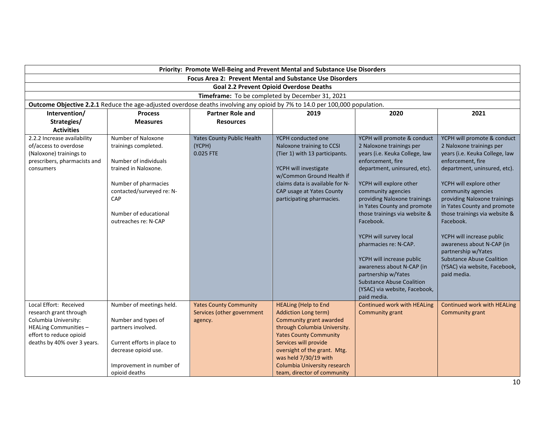|                                                          | Priority: Promote Well-Being and Prevent Mental and Substance Use Disorders                                                |                                                             |                                                     |                                                       |                                                       |  |  |
|----------------------------------------------------------|----------------------------------------------------------------------------------------------------------------------------|-------------------------------------------------------------|-----------------------------------------------------|-------------------------------------------------------|-------------------------------------------------------|--|--|
| Focus Area 2: Prevent Mental and Substance Use Disorders |                                                                                                                            |                                                             |                                                     |                                                       |                                                       |  |  |
| <b>Goal 2.2 Prevent Opioid Overdose Deaths</b>           |                                                                                                                            |                                                             |                                                     |                                                       |                                                       |  |  |
|                                                          |                                                                                                                            |                                                             | Timeframe: To be completed by December 31, 2021     |                                                       |                                                       |  |  |
|                                                          | Outcome Objective 2.2.1 Reduce the age-adjusted overdose deaths involving any opioid by 7% to 14.0 per 100,000 population. |                                                             |                                                     |                                                       |                                                       |  |  |
| Intervention/                                            | <b>Process</b>                                                                                                             | <b>Partner Role and</b>                                     | 2019                                                | 2020                                                  | 2021                                                  |  |  |
| Strategies/                                              | <b>Measures</b>                                                                                                            | <b>Resources</b>                                            |                                                     |                                                       |                                                       |  |  |
| <b>Activities</b>                                        |                                                                                                                            |                                                             |                                                     |                                                       |                                                       |  |  |
| 2.2.2 Increase availability                              | Number of Naloxone                                                                                                         | <b>Yates County Public Health</b>                           | YCPH conducted one                                  | YCPH will promote & conduct                           | YCPH will promote & conduct                           |  |  |
| of/access to overdose                                    | trainings completed.                                                                                                       | (YCPH)                                                      | Naloxone training to CCSI                           | 2 Naloxone trainings per                              | 2 Naloxone trainings per                              |  |  |
| (Naloxone) trainings to                                  |                                                                                                                            | 0.025 FTE                                                   | (Tier 1) with 13 participants.                      | years (i.e. Keuka College, law                        | years (i.e. Keuka College, law                        |  |  |
| prescribers, pharmacists and                             | Number of individuals                                                                                                      |                                                             |                                                     | enforcement, fire                                     | enforcement, fire                                     |  |  |
| consumers                                                | trained in Naloxone.                                                                                                       |                                                             | YCPH will investigate<br>w/Common Ground Health if  | department, uninsured, etc).                          | department, uninsured, etc).                          |  |  |
|                                                          | Number of pharmacies                                                                                                       |                                                             | claims data is available for N-                     | YCPH will explore other                               | YCPH will explore other                               |  |  |
|                                                          | contacted/surveyed re: N-                                                                                                  |                                                             | CAP usage at Yates County                           | community agencies                                    | community agencies                                    |  |  |
|                                                          | CAP                                                                                                                        |                                                             | participating pharmacies.                           | providing Naloxone trainings                          | providing Naloxone trainings                          |  |  |
|                                                          |                                                                                                                            |                                                             |                                                     | in Yates County and promote                           | in Yates County and promote                           |  |  |
|                                                          | Number of educational                                                                                                      |                                                             |                                                     | those trainings via website &                         | those trainings via website &                         |  |  |
|                                                          | outreaches re: N-CAP                                                                                                       |                                                             |                                                     | Facebook.                                             | Facebook.                                             |  |  |
|                                                          |                                                                                                                            |                                                             |                                                     |                                                       |                                                       |  |  |
|                                                          |                                                                                                                            |                                                             |                                                     | YCPH will survey local                                | YCPH will increase public                             |  |  |
|                                                          |                                                                                                                            |                                                             |                                                     | pharmacies re: N-CAP.                                 | awareness about N-CAP (in                             |  |  |
|                                                          |                                                                                                                            |                                                             |                                                     |                                                       | partnership w/Yates                                   |  |  |
|                                                          |                                                                                                                            |                                                             |                                                     | YCPH will increase public                             | <b>Substance Abuse Coalition</b>                      |  |  |
|                                                          |                                                                                                                            |                                                             |                                                     | awareness about N-CAP (in                             | (YSAC) via website, Facebook,                         |  |  |
|                                                          |                                                                                                                            |                                                             |                                                     | partnership w/Yates                                   | paid media.                                           |  |  |
|                                                          |                                                                                                                            |                                                             |                                                     | <b>Substance Abuse Coalition</b>                      |                                                       |  |  |
|                                                          |                                                                                                                            |                                                             |                                                     | (YSAC) via website, Facebook,                         |                                                       |  |  |
|                                                          |                                                                                                                            |                                                             |                                                     | paid media.                                           |                                                       |  |  |
| Local Effort: Received<br>research grant through         | Number of meetings held.                                                                                                   | <b>Yates County Community</b><br>Services (other government | <b>HEALing (Help to End</b><br>Addiction Long term) | <b>Continued work with HEALing</b><br>Community grant | <b>Continued work with HEALing</b><br>Community grant |  |  |
| Columbia University:                                     | Number and types of                                                                                                        | agency.                                                     | Community grant awarded                             |                                                       |                                                       |  |  |
| HEALing Communities -                                    | partners involved.                                                                                                         |                                                             | through Columbia University.                        |                                                       |                                                       |  |  |
| effort to reduce opioid                                  |                                                                                                                            |                                                             | <b>Yates County Community</b>                       |                                                       |                                                       |  |  |
| deaths by 40% over 3 years.                              | Current efforts in place to                                                                                                |                                                             | Services will provide                               |                                                       |                                                       |  |  |
|                                                          | decrease opioid use.                                                                                                       |                                                             | oversight of the grant. Mtg.                        |                                                       |                                                       |  |  |
|                                                          |                                                                                                                            |                                                             | was held 7/30/19 with                               |                                                       |                                                       |  |  |
|                                                          | Improvement in number of                                                                                                   |                                                             | Columbia University research                        |                                                       |                                                       |  |  |
|                                                          | opioid deaths                                                                                                              |                                                             | team, director of community                         |                                                       |                                                       |  |  |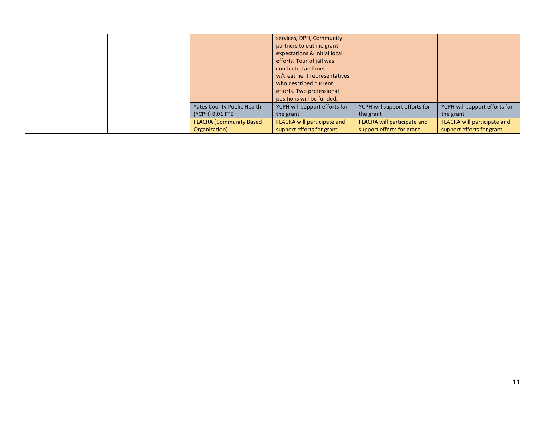|  |                                                      | services, DPH, Community<br>partners to outline grant<br>expectations & initial local<br>efforts. Tour of jail was<br>conducted and met<br>w/treatment representatives<br>who described current<br>efforts. Two professional<br>positions will be funded. |                                                          |                                                          |
|--|------------------------------------------------------|-----------------------------------------------------------------------------------------------------------------------------------------------------------------------------------------------------------------------------------------------------------|----------------------------------------------------------|----------------------------------------------------------|
|  | <b>Yates County Public Health</b><br>(YCPH) 0.01 FTE | YCPH will support efforts for<br>the grant                                                                                                                                                                                                                | YCPH will support efforts for<br>the grant               | YCPH will support efforts for<br>the grant               |
|  | <b>FLACRA (Community Based)</b><br>Organization)     | FLACRA will participate and<br>support efforts for grant                                                                                                                                                                                                  | FLACRA will participate and<br>support efforts for grant | FLACRA will participate and<br>support efforts for grant |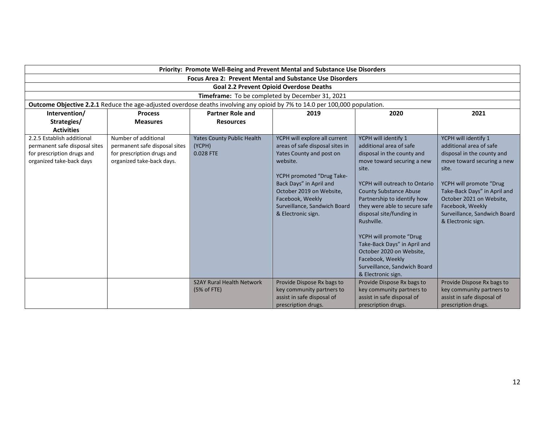|                                                                                                                            | Priority: Promote Well-Being and Prevent Mental and Substance Use Disorders                                      |                                                          |                                                                                                                                                                                                                                                                        |                                                                                                                                                                                                                                                                                                                                                                                                                                                                   |                                                                                                                                                                                                                                                                                       |  |  |  |
|----------------------------------------------------------------------------------------------------------------------------|------------------------------------------------------------------------------------------------------------------|----------------------------------------------------------|------------------------------------------------------------------------------------------------------------------------------------------------------------------------------------------------------------------------------------------------------------------------|-------------------------------------------------------------------------------------------------------------------------------------------------------------------------------------------------------------------------------------------------------------------------------------------------------------------------------------------------------------------------------------------------------------------------------------------------------------------|---------------------------------------------------------------------------------------------------------------------------------------------------------------------------------------------------------------------------------------------------------------------------------------|--|--|--|
| <b>Focus Area 2: Prevent Mental and Substance Use Disorders</b>                                                            |                                                                                                                  |                                                          |                                                                                                                                                                                                                                                                        |                                                                                                                                                                                                                                                                                                                                                                                                                                                                   |                                                                                                                                                                                                                                                                                       |  |  |  |
| <b>Goal 2.2 Prevent Opioid Overdose Deaths</b>                                                                             |                                                                                                                  |                                                          |                                                                                                                                                                                                                                                                        |                                                                                                                                                                                                                                                                                                                                                                                                                                                                   |                                                                                                                                                                                                                                                                                       |  |  |  |
|                                                                                                                            |                                                                                                                  |                                                          | Timeframe: To be completed by December 31, 2021                                                                                                                                                                                                                        |                                                                                                                                                                                                                                                                                                                                                                                                                                                                   |                                                                                                                                                                                                                                                                                       |  |  |  |
| Outcome Objective 2.2.1 Reduce the age-adjusted overdose deaths involving any opioid by 7% to 14.0 per 100,000 population. |                                                                                                                  |                                                          |                                                                                                                                                                                                                                                                        |                                                                                                                                                                                                                                                                                                                                                                                                                                                                   |                                                                                                                                                                                                                                                                                       |  |  |  |
| Intervention/<br><b>Partner Role and</b><br>2019<br>2020<br><b>Process</b>                                                 |                                                                                                                  |                                                          |                                                                                                                                                                                                                                                                        |                                                                                                                                                                                                                                                                                                                                                                                                                                                                   |                                                                                                                                                                                                                                                                                       |  |  |  |
| Strategies/                                                                                                                | <b>Measures</b>                                                                                                  | <b>Resources</b>                                         |                                                                                                                                                                                                                                                                        |                                                                                                                                                                                                                                                                                                                                                                                                                                                                   |                                                                                                                                                                                                                                                                                       |  |  |  |
| <b>Activities</b>                                                                                                          |                                                                                                                  |                                                          |                                                                                                                                                                                                                                                                        |                                                                                                                                                                                                                                                                                                                                                                                                                                                                   |                                                                                                                                                                                                                                                                                       |  |  |  |
| 2.2.5 Establish additional<br>permanent safe disposal sites<br>for prescription drugs and<br>organized take-back days      | Number of additional<br>permanent safe disposal sites<br>for prescription drugs and<br>organized take-back days. | <b>Yates County Public Health</b><br>(YCPH)<br>0.028 FTE | YCPH will explore all current<br>areas of safe disposal sites in<br>Yates County and post on<br>website.<br>YCPH promoted "Drug Take-<br>Back Days" in April and<br>October 2019 on Website,<br>Facebook, Weekly<br>Surveillance, Sandwich Board<br>& Electronic sign. | YCPH will identify 1<br>additional area of safe<br>disposal in the county and<br>move toward securing a new<br>site.<br>YCPH will outreach to Ontario<br><b>County Substance Abuse</b><br>Partnership to identify how<br>they were able to secure safe<br>disposal site/funding in<br>Rushville.<br>YCPH will promote "Drug<br>Take-Back Days" in April and<br>October 2020 on Website,<br>Facebook, Weekly<br>Surveillance, Sandwich Board<br>& Electronic sign. | YCPH will identify 1<br>additional area of safe<br>disposal in the county and<br>move toward securing a new<br>site.<br>YCPH will promote "Drug<br>Take-Back Days" in April and<br>October 2021 on Website,<br>Facebook, Weekly<br>Surveillance, Sandwich Board<br>& Electronic sign. |  |  |  |
|                                                                                                                            |                                                                                                                  | <b>S2AY Rural Health Network</b><br>(5% of FTE)          | Provide Dispose Rx bags to<br>key community partners to<br>assist in safe disposal of<br>prescription drugs.                                                                                                                                                           | Provide Dispose Rx bags to<br>key community partners to<br>assist in safe disposal of<br>prescription drugs.                                                                                                                                                                                                                                                                                                                                                      | Provide Dispose Rx bags to<br>key community partners to<br>assist in safe disposal of<br>prescription drugs.                                                                                                                                                                          |  |  |  |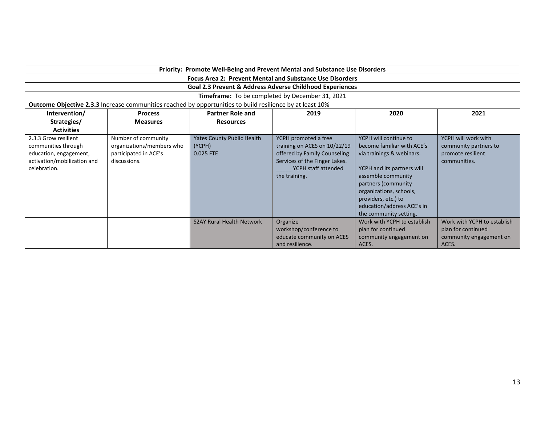| Priority: Promote Well-Being and Prevent Mental and Substance Use Disorders                                                                                                                            |                                                                                           |                                                          |                                                                                                                                                               |                                                                                                                                                                                                                                                                       |                                                                                       |  |  |
|--------------------------------------------------------------------------------------------------------------------------------------------------------------------------------------------------------|-------------------------------------------------------------------------------------------|----------------------------------------------------------|---------------------------------------------------------------------------------------------------------------------------------------------------------------|-----------------------------------------------------------------------------------------------------------------------------------------------------------------------------------------------------------------------------------------------------------------------|---------------------------------------------------------------------------------------|--|--|
| <b>Focus Area 2: Prevent Mental and Substance Use Disorders</b>                                                                                                                                        |                                                                                           |                                                          |                                                                                                                                                               |                                                                                                                                                                                                                                                                       |                                                                                       |  |  |
| Goal 2.3 Prevent & Address Adverse Childhood Experiences                                                                                                                                               |                                                                                           |                                                          |                                                                                                                                                               |                                                                                                                                                                                                                                                                       |                                                                                       |  |  |
|                                                                                                                                                                                                        |                                                                                           |                                                          | Timeframe: To be completed by December 31, 2021                                                                                                               |                                                                                                                                                                                                                                                                       |                                                                                       |  |  |
|                                                                                                                                                                                                        |                                                                                           |                                                          |                                                                                                                                                               |                                                                                                                                                                                                                                                                       |                                                                                       |  |  |
| <b>Outcome Objective 2.3.3</b> Increase communities reached by opportunities to build resilience by at least 10%<br><b>Partner Role and</b><br>2020<br>2021<br>Intervention/<br>2019<br><b>Process</b> |                                                                                           |                                                          |                                                                                                                                                               |                                                                                                                                                                                                                                                                       |                                                                                       |  |  |
| Strategies/                                                                                                                                                                                            | <b>Measures</b>                                                                           | <b>Resources</b>                                         |                                                                                                                                                               |                                                                                                                                                                                                                                                                       |                                                                                       |  |  |
| <b>Activities</b>                                                                                                                                                                                      |                                                                                           |                                                          |                                                                                                                                                               |                                                                                                                                                                                                                                                                       |                                                                                       |  |  |
| 2.3.3 Grow resilient<br>communities through<br>education, engagement,<br>activation/mobilization and<br>celebration.                                                                                   | Number of community<br>organizations/members who<br>participated in ACE's<br>discussions. | <b>Yates County Public Health</b><br>(YCPH)<br>0.025 FTE | YCPH promoted a free<br>training on ACES on 10/22/19<br>offered by Family Counseling<br>Services of the Finger Lakes.<br>YCPH staff attended<br>the training. | YCPH will continue to<br>become familiar with ACE's<br>via trainings & webinars.<br>YCPH and its partners will<br>assemble community<br>partners (community<br>organizations, schools,<br>providers, etc.) to<br>education/address ACE's in<br>the community setting. | YCPH will work with<br>community partners to<br>promote resilient<br>communities.     |  |  |
|                                                                                                                                                                                                        |                                                                                           | <b>S2AY Rural Health Network</b>                         | Organize<br>workshop/conference to<br>educate community on ACES<br>and resilience.                                                                            | Work with YCPH to establish<br>plan for continued<br>community engagement on<br>ACES.                                                                                                                                                                                 | Work with YCPH to establish<br>plan for continued<br>community engagement on<br>ACES. |  |  |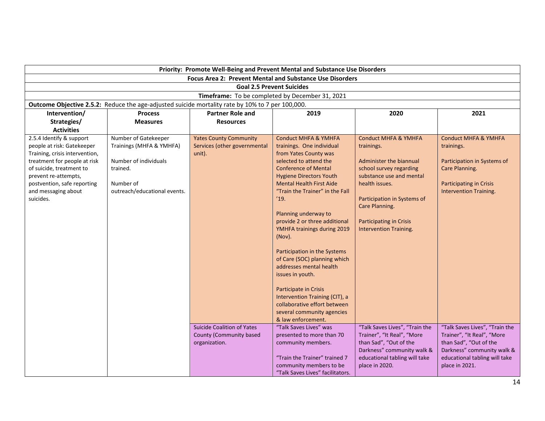| Priority: Promote Well-Being and Prevent Mental and Substance Use Disorders                                                                                                                                                                     |                                                                                                                                    |                                                                               |                                                                                                                                                                                                                                                                                                                                                                                                                                                                                                                                            |                                                                                                                                                                                                                                                                       |                                                                                                                                                                         |  |
|-------------------------------------------------------------------------------------------------------------------------------------------------------------------------------------------------------------------------------------------------|------------------------------------------------------------------------------------------------------------------------------------|-------------------------------------------------------------------------------|--------------------------------------------------------------------------------------------------------------------------------------------------------------------------------------------------------------------------------------------------------------------------------------------------------------------------------------------------------------------------------------------------------------------------------------------------------------------------------------------------------------------------------------------|-----------------------------------------------------------------------------------------------------------------------------------------------------------------------------------------------------------------------------------------------------------------------|-------------------------------------------------------------------------------------------------------------------------------------------------------------------------|--|
| <b>Focus Area 2: Prevent Mental and Substance Use Disorders</b>                                                                                                                                                                                 |                                                                                                                                    |                                                                               |                                                                                                                                                                                                                                                                                                                                                                                                                                                                                                                                            |                                                                                                                                                                                                                                                                       |                                                                                                                                                                         |  |
|                                                                                                                                                                                                                                                 |                                                                                                                                    |                                                                               | <b>Goal 2.5 Prevent Suicides</b>                                                                                                                                                                                                                                                                                                                                                                                                                                                                                                           |                                                                                                                                                                                                                                                                       |                                                                                                                                                                         |  |
|                                                                                                                                                                                                                                                 |                                                                                                                                    |                                                                               | Timeframe: To be completed by December 31, 2021                                                                                                                                                                                                                                                                                                                                                                                                                                                                                            |                                                                                                                                                                                                                                                                       |                                                                                                                                                                         |  |
|                                                                                                                                                                                                                                                 | Outcome Objective 2.5.2: Reduce the age-adjusted suicide mortality rate by 10% to 7 per 100,000.                                   |                                                                               |                                                                                                                                                                                                                                                                                                                                                                                                                                                                                                                                            |                                                                                                                                                                                                                                                                       |                                                                                                                                                                         |  |
| Intervention/                                                                                                                                                                                                                                   | <b>Process</b>                                                                                                                     | <b>Partner Role and</b>                                                       | 2019                                                                                                                                                                                                                                                                                                                                                                                                                                                                                                                                       | 2020                                                                                                                                                                                                                                                                  | 2021                                                                                                                                                                    |  |
| Strategies/                                                                                                                                                                                                                                     | <b>Measures</b>                                                                                                                    | <b>Resources</b>                                                              |                                                                                                                                                                                                                                                                                                                                                                                                                                                                                                                                            |                                                                                                                                                                                                                                                                       |                                                                                                                                                                         |  |
| <b>Activities</b>                                                                                                                                                                                                                               |                                                                                                                                    |                                                                               |                                                                                                                                                                                                                                                                                                                                                                                                                                                                                                                                            |                                                                                                                                                                                                                                                                       |                                                                                                                                                                         |  |
| 2.5.4 Identify & support<br>people at risk: Gatekeeper<br>Training, crisis intervention,<br>treatment for people at risk<br>of suicide, treatment to<br>prevent re-attempts,<br>postvention, safe reporting<br>and messaging about<br>suicides. | Number of Gatekeeper<br>Trainings (MHFA & YMHFA)<br>Number of individuals<br>trained.<br>Number of<br>outreach/educational events. | <b>Yates County Community</b><br>Services (other governmental<br>unit).       | <b>Conduct MHFA &amp; YMHFA</b><br>trainings. One individual<br>from Yates County was<br>selected to attend the<br><b>Conference of Mental</b><br><b>Hygiene Directors Youth</b><br><b>Mental Health First Aide</b><br>"Train the Trainer" in the Fall<br>'19.<br>Planning underway to<br>provide 2 or three additional<br>YMHFA trainings during 2019<br>(Nov).<br>Participation in the Systems<br>of Care (SOC) planning which<br>addresses mental health<br>issues in youth.<br>Participate in Crisis<br>Intervention Training (CIT), a | <b>Conduct MHFA &amp; YMHFA</b><br>trainings.<br>Administer the biannual<br>school survey regarding<br>substance use and mental<br>health issues.<br>Participation in Systems of<br>Care Planning.<br><b>Participating in Crisis</b><br><b>Intervention Training.</b> | <b>Conduct MHFA &amp; YMHFA</b><br>trainings.<br>Participation in Systems of<br>Care Planning.<br><b>Participating in Crisis</b><br><b>Intervention Training.</b>       |  |
|                                                                                                                                                                                                                                                 |                                                                                                                                    |                                                                               | collaborative effort between<br>several community agencies<br>& law enforcement.                                                                                                                                                                                                                                                                                                                                                                                                                                                           |                                                                                                                                                                                                                                                                       |                                                                                                                                                                         |  |
|                                                                                                                                                                                                                                                 |                                                                                                                                    | <b>Suicide Coalition of Yates</b><br>County (Community based<br>organization. | "Talk Saves Lives" was<br>presented to more than 70<br>community members.<br>"Train the Trainer" trained 7<br>community members to be<br>"Talk Saves Lives" facilitators.                                                                                                                                                                                                                                                                                                                                                                  | "Talk Saves Lives", "Train the<br>Trainer", "It Real", "More<br>than Sad", "Out of the<br>Darkness" community walk &<br>educational tabling will take<br>place in 2020.                                                                                               | "Talk Saves Lives", "Train the<br>Trainer", "It Real", "More<br>than Sad", "Out of the<br>Darkness" community walk &<br>educational tabling will take<br>place in 2021. |  |